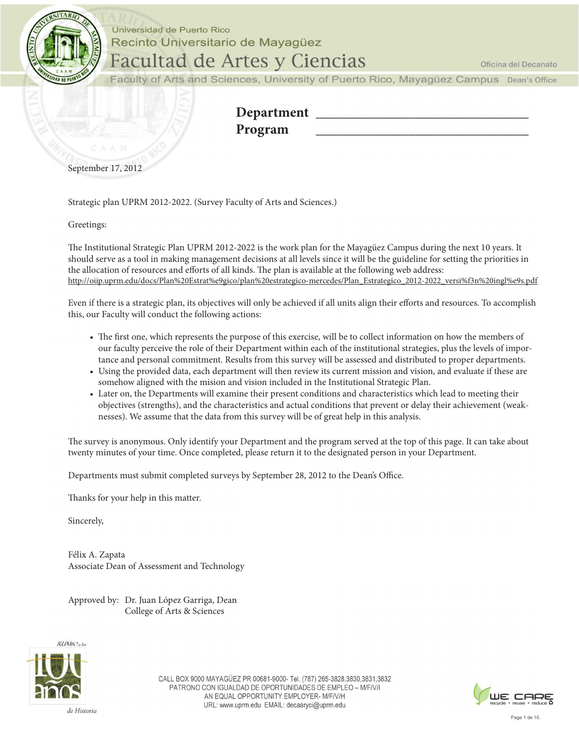

#### Universidad de Puerto Rico Recinto Universitario de Mayagüez **Facultad de Artes y Ciencias**

Oficina del Decanato

Faculty of Arts and Sciences, University of Puerto Rico, Mayagüez Campus Dean's Office

| Department |  |
|------------|--|
| Program    |  |
|            |  |

September 17, 2012

Strategic plan UPRM 2012-2022. (Survey Faculty of Arts and Sciences.)

Greetings:

The Institutional Strategic Plan UPRM 2012-2022 is the work plan for the Mayagüez Campus during the next 10 years. It should serve as a tool in making management decisions at all levels since it will be the guideline for setting the priorities in the allocation of resources and efforts of all kinds. The plan is available at the following web address: http://oiip.uprm.edu/docs/Plan%20Estrat%e9gico/plan%20estrategico-mercedes/Plan\_Estrategico\_2012-2022\_versi%f3n%20ingl%e9s.pdf

Even if there is a strategic plan, its objectives will only be achieved if all units align their eforts and resources. To accomplish this, our Faculty will conduct the following actions:

- The first one, which represents the purpose of this exercise, will be to collect information on how the members of our faculty perceive the role of their Department within each of the institutional strategies, plus the levels of importance and personal commitment. Results from this survey will be assessed and distributed to proper departments.
- Using the provided data, each department will then review its current mission and vision, and evaluate if these are somehow aligned with the mision and vision included in the Institutional Strategic Plan.
- Later on, the Departments will examine their present conditions and characteristics which lead to meeting their objectives (strengths), and the characteristics and actual conditions that prevent or delay their achievement (weaknesses). We assume that the data from this survey will be of great help in this analysis.

The survey is anonymous. Only identify your Department and the program served at the top of this page. It can take about twenty minutes of your time. Once completed, please return it to the designated person in your Department.

Departments must submit completed surveys by September 28, 2012 to the Dean's Office.

Thanks for your help in this matter.

Sincerely,

Félix A. Zapata Associate Dean of Assessment and Technology

Approved by: Dr. Juan López Garriga, Dean College of Arts & Sciences



CALL BOX 9000 MAYAGÜEZ PR 00681-9000- Tel. (787) 265-3828,3830,3831,3832 PATRONO CON IGUALDAD DE OPORTUNIDADES DE EMPLEO - M/F/V/I AN EQUAL OPPORTUNITY EMPLOYER- M/F/V/H URL: www.uprm.edu EMAIL: decaaryci@uprm.edu

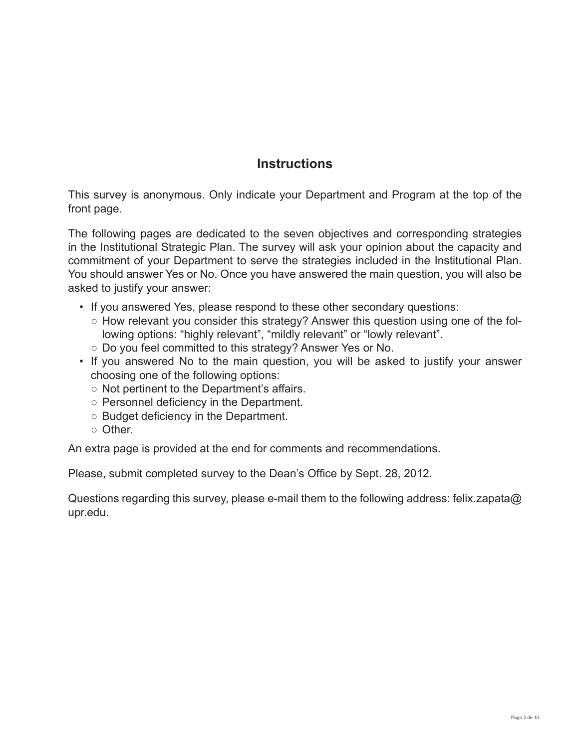#### **Instructions**

This survey is anonymous. Only indicate your Department and Program at the top of the front page.

The following pages are dedicated to the seven objectives and corresponding strategies in the Institutional Strategic Plan. The survey will ask your opinion about the capacity and commitment of your Department to serve the strategies included in the Institutional Plan. You should answer Yes or No. Once you have answered the main question, you will also be asked to justify your answer:

- If you answered Yes, please respond to these other secondary questions:
	- $\circ$  How relevant you consider this strategy? Answer this question using one of the following options: "highly relevant", "mildly relevant" or "lowly relevant".
	- o Do you feel committed to this strategy? Answer Yes or No.
- If you answered No to the main question, you will be asked to justify your answer choosing one of the following options:
	- $\circ$  Not pertinent to the Department's affairs.
	- $\circ$  Personnel deficiency in the Department.
	- $\circ$  Budget deficiency in the Department.
	- $\circ$  Other.

An extra page is provided at the end for comments and recommendations.

Please, submit completed survey to the Dean's Office by Sept. 28, 2012.

Questions regarding this survey, please e-mail them to the following address: felix.zapata@ upr.edu.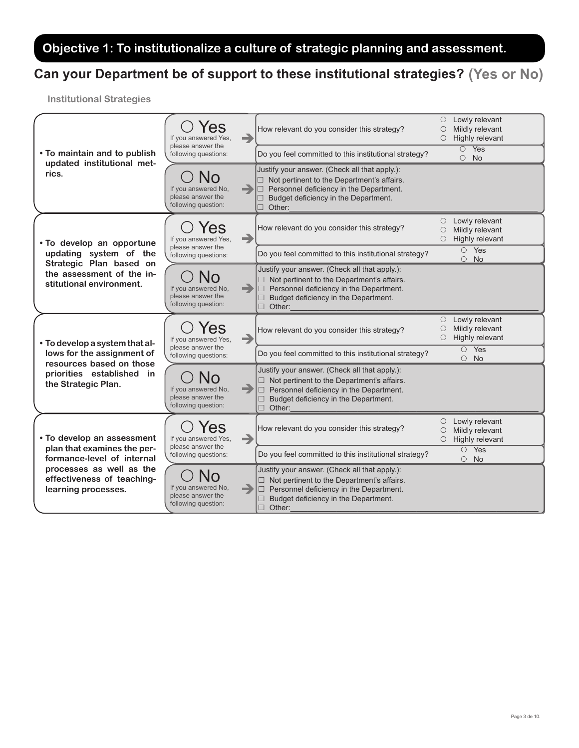### Objective 1: To institutionalize a culture of strategic planning and assessment.

## Can your Department be of support to these institutional strategies? (Yes or No)

| • To maintain and to publish                                                     | 'es<br>If you answered Yes,                                           | →             | How relevant do you consider this strategy?                                                                                                                                                                        | Lowly relevant<br>O<br>Mildly relevant<br>$\circ$<br>Highly relevant<br>O             |
|----------------------------------------------------------------------------------|-----------------------------------------------------------------------|---------------|--------------------------------------------------------------------------------------------------------------------------------------------------------------------------------------------------------------------|---------------------------------------------------------------------------------------|
|                                                                                  | please answer the<br>following questions:                             |               | Do you feel committed to this institutional strategy?                                                                                                                                                              | $O$ Yes<br>$\circ$ No                                                                 |
| updated institutional met-<br>rics.                                              | No<br>If you answered No,<br>please answer the<br>following question: | ▄             | Justify your answer. (Check all that apply.):<br>$\Box$ Not pertinent to the Department's affairs.<br>$\Box$ Personnel deficiency in the Department.<br>Budget deficiency in the Department.<br>$\Box$<br>Other:   |                                                                                       |
| . To develop an opportune                                                        | 'es<br>If you answered Yes,                                           | $\rightarrow$ | How relevant do you consider this strategy?                                                                                                                                                                        | Lowly relevant<br>Mildly relevant<br>O<br>Highly relevant<br>$\bigcirc$               |
| updating system of the                                                           | please answer the<br>following questions:                             |               | Do you feel committed to this institutional strategy?                                                                                                                                                              | $O$ Yes<br>$\circ$<br>No                                                              |
| Strategic Plan based on<br>the assessment of the in-<br>stitutional environment. | JО<br>If you answered No,<br>please answer the<br>following question: | -             | Justify your answer. (Check all that apply.):<br>$\Box$ Not pertinent to the Department's affairs.<br>$\Box$ Personnel deficiency in the Department.<br>Budget deficiency in the Department.<br>$\Box$ Other:      |                                                                                       |
|                                                                                  | es<br>If you answered Yes.                                            | →             |                                                                                                                                                                                                                    | Lowly relevant<br>$\circ$                                                             |
|                                                                                  |                                                                       |               | How relevant do you consider this strategy?                                                                                                                                                                        | Mildly relevant<br>O<br>Highly relevant<br>O                                          |
| • To develop a system that al-<br>lows for the assignment of                     | please answer the<br>following questions:                             |               | Do you feel committed to this institutional strategy?                                                                                                                                                              | $O$ Yes<br><b>No</b><br>$\circ$                                                       |
| resources based on those<br>priorities established in<br>the Strategic Plan.     | NΩ<br>If you answered No,<br>please answer the<br>following question: | -             | Justify your answer. (Check all that apply.):<br>$\Box$ Not pertinent to the Department's affairs.<br>$\Box$ Personnel deficiency in the Department.<br>Budget deficiency in the Department.<br>П<br>$\Box$ Other: |                                                                                       |
| • To develop an assessment                                                       | Yes<br>If you answered Yes,                                           | $\rightarrow$ | How relevant do you consider this strategy?                                                                                                                                                                        | Lowly relevant<br>$\bigcirc$<br>Mildly relevant<br>O<br>Highly relevant<br>$\bigcirc$ |
| plan that examines the per-<br>formance-level of internal                        | please answer the<br>following questions:                             |               | Do you feel committed to this institutional strategy?                                                                                                                                                              | $O$ Yes<br>$\circ$ No                                                                 |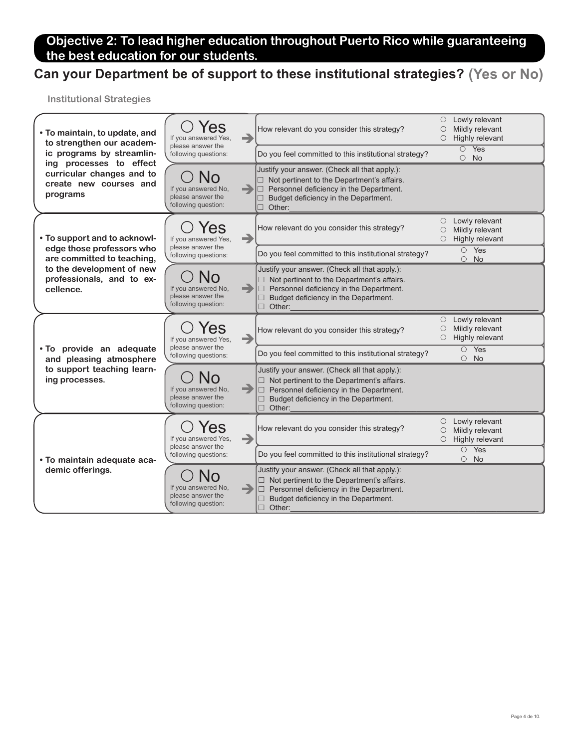#### Objective 2: To lead higher education throughout Puerto Rico while guaranteeing the best education for our students.

# Can your Department be of support to these institutional strategies? (Yes or No)

| • To maintain, to update, and<br>to strengthen our academ-<br>ic programs by streamlin-    | 'es<br>If you answered Yes,<br>please answer the<br>following questions:    | →             | How relevant do you consider this strategy?                                                                                                                                                                          | O<br>O<br>O             | Lowly relevant<br>Mildly relevant<br>Highly relevant |
|--------------------------------------------------------------------------------------------|-----------------------------------------------------------------------------|---------------|----------------------------------------------------------------------------------------------------------------------------------------------------------------------------------------------------------------------|-------------------------|------------------------------------------------------|
|                                                                                            |                                                                             |               | Do you feel committed to this institutional strategy?                                                                                                                                                                |                         | $\overline{O}$ Yes<br>$\circ$<br>No                  |
| ing processes to effect<br>curricular changes and to<br>create new courses and<br>programs | No<br>If you answered No.<br>please answer the<br>following question:       |               | Justify your answer. (Check all that apply.):<br>$\Box$ Not pertinent to the Department's affairs.<br>$\Box$ Personnel deficiency in the Department.<br>$\Box$ Budget deficiency in the Department.<br>$\Box$ Other: |                         |                                                      |
| • To support and to acknowl-                                                               | es<br>If you answered Yes,                                                  | →             | How relevant do you consider this strategy?                                                                                                                                                                          | O<br>$\circ$<br>$\circ$ | Lowly relevant<br>Mildly relevant<br>Highly relevant |
| edge those professors who<br>are committed to teaching,                                    | please answer the<br>following questions:                                   |               | Do you feel committed to this institutional strategy?                                                                                                                                                                |                         | $O$ Yes<br>$\circ$ No                                |
| to the development of new<br>professionals, and to ex-<br>cellence.                        | If you answered No,<br>please answer the<br>following question:             | $\rightarrow$ | Justify your answer. (Check all that apply.):<br>$\Box$ Not pertinent to the Department's affairs.<br>$\Box$ Personnel deficiency in the Department.<br>Budget deficiency in the Department.<br>$\Box$ Other:        |                         |                                                      |
|                                                                                            | 'es<br>If you answered Yes,                                                 | →             |                                                                                                                                                                                                                      |                         |                                                      |
|                                                                                            |                                                                             |               | How relevant do you consider this strategy?                                                                                                                                                                          | $\circ$<br>O<br>O       | Lowly relevant<br>Mildly relevant<br>Highly relevant |
| . To provide an adequate<br>and pleasing atmosphere                                        | please answer the<br>following questions:                                   |               | Do you feel committed to this institutional strategy?                                                                                                                                                                |                         | $\circ$ Yes<br>$\circ$ No                            |
| to support teaching learn-<br>ing processes.                                               | $\Omega$<br>If you answered No,<br>please answer the<br>following question: | $\rightarrow$ | Justify your answer. (Check all that apply.):<br>$\Box$ Not pertinent to the Department's affairs.<br>$\Box$ Personnel deficiency in the Department.<br>$\Box$ Budget deficiency in the Department.<br>$\Box$ Other: |                         |                                                      |
|                                                                                            | 'es<br>If you answered Yes,                                                 | →             | How relevant do you consider this strategy?                                                                                                                                                                          | O<br>O<br>O             | Lowly relevant<br>Mildly relevant<br>Highly relevant |
| • To maintain adequate aca-                                                                | please answer the<br>following questions:                                   |               | Do you feel committed to this institutional strategy?                                                                                                                                                                |                         | $O$ Yes<br>No<br>$\circ$                             |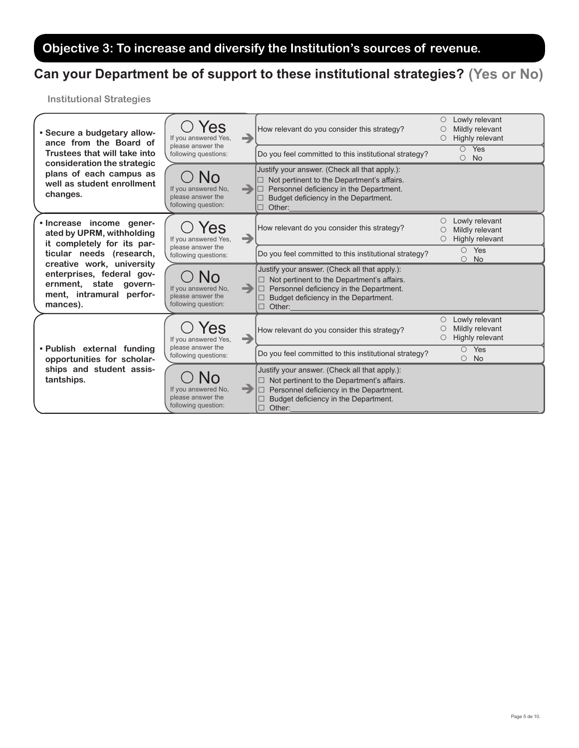# Objective 3: To increase and diversify the Institution's sources of revenue.

## Can your Department be of support to these institutional strategies? (Yes or No)

| • Secure a budgetary allow-<br>ance from the Board of<br>Trustees that will take into                                    | Yes<br>If you answered Yes,<br>please answer the<br>following questions:          | $\rightarrow$ | How relevant do you consider this strategy?                                                                                                                                                             | O | Lowly relevant<br>Mildly relevant<br>Highly relevant |
|--------------------------------------------------------------------------------------------------------------------------|-----------------------------------------------------------------------------------|---------------|---------------------------------------------------------------------------------------------------------------------------------------------------------------------------------------------------------|---|------------------------------------------------------|
|                                                                                                                          |                                                                                   |               | Do you feel committed to this institutional strategy?                                                                                                                                                   |   | $\overline{O}$ Yes<br>$\circ$ No                     |
| consideration the strategic<br>plans of each campus as<br>well as student enrollment<br>changes.                         | NO<br>If you answered No.<br>please answer the<br>following question:             | -             | Justify your answer. (Check all that apply.):<br>Not pertinent to the Department's affairs.<br>Personnel deficiency in the Department.<br>Budget deficiency in the Department.<br>Other:<br>П           |   |                                                      |
| . Increase income gener-<br>ated by UPRM, withholding<br>it completely for its par-                                      | Yes<br>If you answered Yes,                                                       | →             | How relevant do you consider this strategy?                                                                                                                                                             | О | Lowly relevant<br>Mildly relevant<br>Highly relevant |
| ticular needs (research,                                                                                                 | please answer the<br>following questions:                                         |               | Do you feel committed to this institutional strategy?                                                                                                                                                   |   | $\circ$ Yes<br><b>No</b><br>$\circ$                  |
| creative work, university<br>enterprises, federal gov-<br>ernment, state govern-<br>ment, intramural perfor-<br>mances). | NO<br>If you answered No.<br>please answer the<br>following question:             | æ,            | Justify your answer. (Check all that apply.):<br>Not pertinent to the Department's affairs.<br>$\Box$<br>Personnel deficiency in the Department.<br>Budget deficiency in the Department.<br>Other:<br>П |   |                                                      |
|                                                                                                                          | res<br>If you answered Yes,                                                       | -             | How relevant do you consider this strategy?                                                                                                                                                             | О | Lowly relevant<br>Mildly relevant<br>Highly relevant |
| • Publish external funding<br>opportunities for scholar-<br>ships and student assis-<br>tantships.                       | please answer the<br>following questions:                                         |               | Do you feel committed to this institutional strategy?                                                                                                                                                   |   | $O$ Yes<br>$\bigcirc$<br><b>No</b>                   |
|                                                                                                                          | $\overline{O}$<br>If you answered No.<br>please answer the<br>following question: | -             | Justify your answer. (Check all that apply.):<br>Not pertinent to the Department's affairs.<br>Personnel deficiency in the Department.<br>Budget deficiency in the Department.<br>$\Box$<br>Other:      |   |                                                      |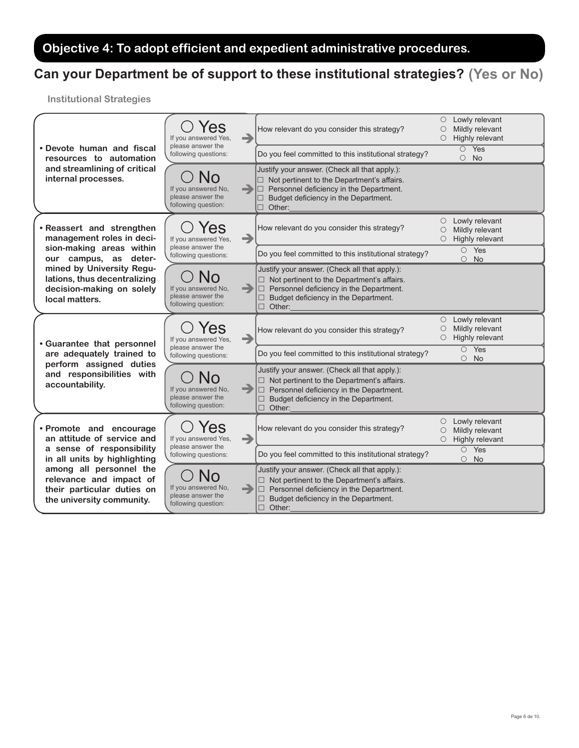### Objective 4: To adopt efficient and expedient administrative procedures.

## Can your Department be of support to these institutional strategies? (Yes or No)

| • Devote human and fiscal<br>resources to automation                                                     | 'es<br>If you answered Yes,<br>please answer the<br>following questions:     | →  | How relevant do you consider this strategy?                                                                                                                                                                        | $\circ$<br>O<br>О | Lowly relevant<br>Mildly relevant<br>Highly relevant         |
|----------------------------------------------------------------------------------------------------------|------------------------------------------------------------------------------|----|--------------------------------------------------------------------------------------------------------------------------------------------------------------------------------------------------------------------|-------------------|--------------------------------------------------------------|
|                                                                                                          |                                                                              |    | Do you feel committed to this institutional strategy?                                                                                                                                                              |                   | $\overline{O}$ Yes<br>$\circ$ No                             |
| and streamlining of critical<br>internal processes.                                                      | No<br>If you answered No.<br>please answer the<br>following question:        | a) | Justify your answer. (Check all that apply.):<br>$\Box$ Not pertinent to the Department's affairs.<br>$\Box$ Personnel deficiency in the Department.<br>Budget deficiency in the Department.<br>Other:<br>$\Box$   |                   |                                                              |
| • Reassert and strengthen<br>management roles in deci-                                                   | <b>es</b><br>If you answered Yes,                                            | →  | How relevant do you consider this strategy?                                                                                                                                                                        | $\circ$<br>О<br>O | Lowly relevant<br>Mildly relevant<br>Highly relevant         |
| sion-making areas within<br>our campus, as deter-                                                        | please answer the<br>following questions:                                    |    | Do you feel committed to this institutional strategy?                                                                                                                                                              |                   | $O$ Yes<br>$\circ$<br>No                                     |
| mined by University Regu-<br>lations, thus decentralizing<br>decision-making on solely<br>local matters. | No<br>If you answered No,<br>please answer the<br>following question:        | -  | Justify your answer. (Check all that apply.):<br>$\Box$ Not pertinent to the Department's affairs.<br>$\Box$ Personnel deficiency in the Department.<br>Budget deficiency in the Department.<br>$\Box$ Other:      |                   |                                                              |
|                                                                                                          | 'es<br>If you answered Yes,                                                  | →  |                                                                                                                                                                                                                    |                   |                                                              |
|                                                                                                          |                                                                              |    | How relevant do you consider this strategy?                                                                                                                                                                        | 0<br>О<br>$\circ$ | Lowly relevant<br>Mildly relevant<br>Highly relevant         |
| <b>.</b> Guarantee that personnel<br>are adequately trained to                                           | please answer the<br>following questions:                                    |    | Do you feel committed to this institutional strategy?                                                                                                                                                              |                   | $\overline{O}$ Yes<br><b>No</b><br>$\circ$                   |
| perform assigned duties<br>and responsibilities with<br>accountability.                                  | <b>No</b><br>If you answered No,<br>please answer the<br>following question: | -  | Justify your answer. (Check all that apply.):<br>$\Box$ Not pertinent to the Department's affairs.<br>$\Box$ Personnel deficiency in the Department.<br>Budget deficiency in the Department.<br>□<br>$\Box$ Other: |                   |                                                              |
| • Promote and encourage<br>an attitude of service and                                                    | Yes<br>If you answered Yes,                                                  | →  | How relevant do you consider this strategy?                                                                                                                                                                        | О<br>O            | $\circ$ Lowly relevant<br>Mildly relevant<br>Highly relevant |
| a sense of responsibility<br>in all units by highlighting                                                | please answer the<br>following questions:                                    |    | Do you feel committed to this institutional strategy?                                                                                                                                                              |                   | $O$ Yes<br><b>No</b><br>$\circ$                              |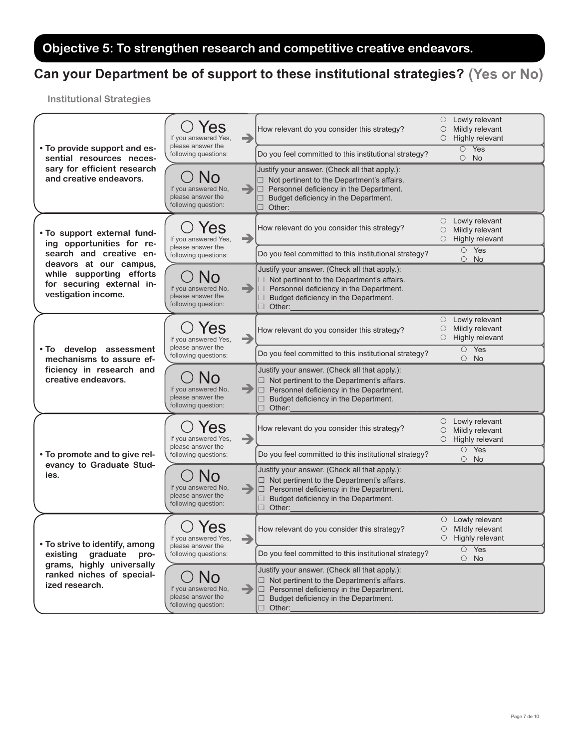### Objective 5: To strengthen research and competitive creative endeavors.

## Can your Department be of support to these institutional strategies? (Yes or No)

| • To provide support and es-<br>sential resources neces-                     | 'es<br>→<br>If you answered Yes,                                                       | How relevant do you consider this strategy?                                                                                                                                                                             | Lowly relevant<br>0<br>Mildly relevant<br>O<br>Highly relevant<br>О        |
|------------------------------------------------------------------------------|----------------------------------------------------------------------------------------|-------------------------------------------------------------------------------------------------------------------------------------------------------------------------------------------------------------------------|----------------------------------------------------------------------------|
|                                                                              | please answer the<br>following questions:                                              | Do you feel committed to this institutional strategy?                                                                                                                                                                   | $\overline{O}$ Yes<br>$\circ$ No                                           |
| sary for efficient research<br>and creative endeavors.                       | N <sub>0</sub><br>If you answered No,<br>-<br>please answer the<br>following question: | Justify your answer. (Check all that apply.):<br>$\Box$ Not pertinent to the Department's affairs.<br>$\Box$ Personnel deficiency in the Department.<br>$\Box$ Budget deficiency in the Department.<br>$\Box$ Other:    |                                                                            |
| . To support external fund-<br>ing opportunities for re-                     | Yes<br>→<br>If you answered Yes,<br>please answer the                                  | How relevant do you consider this strategy?                                                                                                                                                                             | Lowly relevant<br>$\circ$<br>Mildly relevant<br>О<br>Highly relevant<br>0  |
| search and creative en-<br>deavors at our campus,                            | following questions:                                                                   | Do you feel committed to this institutional strategy?                                                                                                                                                                   | $O$ Yes<br>$\circ$ No                                                      |
| while supporting efforts<br>for securing external in-<br>vestigation income. | <b>No</b><br>-<br>If you answered No,<br>please answer the<br>following question:      | Justify your answer. (Check all that apply.):<br>$\Box$ Not pertinent to the Department's affairs.<br>$\Box$ Personnel deficiency in the Department.<br>$\Box$ Budget deficiency in the Department.<br>$\Box$ Other:    |                                                                            |
|                                                                              | 'es<br>→<br>If you answered Yes,                                                       | How relevant do you consider this strategy?                                                                                                                                                                             | Lowly relevant<br>О<br>Mildly relevant<br>О<br>Highly relevant<br>0        |
| . To develop assessment<br>mechanisms to assure ef-                          | please answer the<br>following questions:                                              | Do you feel committed to this institutional strategy?                                                                                                                                                                   | $\circ$ Yes<br>$\circ$ No                                                  |
| ficiency in research and<br>creative endeavors.                              | <b>N</b> O<br>-<br>If you answered No,<br>please answer the<br>following question:     | Justify your answer. (Check all that apply.):<br>$\Box$ Not pertinent to the Department's affairs.<br>$\Box$ Personnel deficiency in the Department.<br>Budget deficiency in the Department.<br>$\Box$<br>$\Box$ Other: |                                                                            |
| • To promote and to give rel-<br>evancy to Graduate Stud-<br>ies.            | Yes<br>→<br>If you answered Yes,                                                       | How relevant do you consider this strategy?                                                                                                                                                                             | Lowly relevant<br>O<br>Mildly relevant<br>О<br>Highly relevant<br>О        |
|                                                                              | please answer the<br>following questions:                                              | Do you feel committed to this institutional strategy?                                                                                                                                                                   | $O$ Yes<br>$\circ$ No                                                      |
|                                                                              | If you answered No,<br>$\rightarrow$<br>please answer the<br>following question:       | Justify your answer. (Check all that apply.):<br>$\Box$ Not pertinent to the Department's affairs.<br>$\Box$ Personnel deficiency in the Department.<br>□ Budget deficiency in the Department.<br>$\Box$ Other:         |                                                                            |
| • To strive to identify, among                                               | Yes<br>If you answered Yes,<br>$\rightarrow$                                           | How relevant do you consider this strategy?                                                                                                                                                                             | $\circ$ Lowly relevant<br>$\bigcirc$<br>Mildly relevant<br>Highly relevant |
| graduate<br>existing<br>pro-                                                 | please answer the<br>following questions:                                              | Do you feel committed to this institutional strategy?                                                                                                                                                                   | $\overline{\circ}$ Yes<br>$\circ$ No                                       |
| grams, highly universally<br>ranked niches of special-<br>ized research.     | <b>No</b><br>-<br>If you answered No,<br>please answer the<br>following question:      | Justify your answer. (Check all that apply.):<br>$\Box$ Not pertinent to the Department's affairs.<br>$\Box$ Personnel deficiency in the Department.<br>$\Box$ Budget deficiency in the Department.<br>$\Box$ Other:    |                                                                            |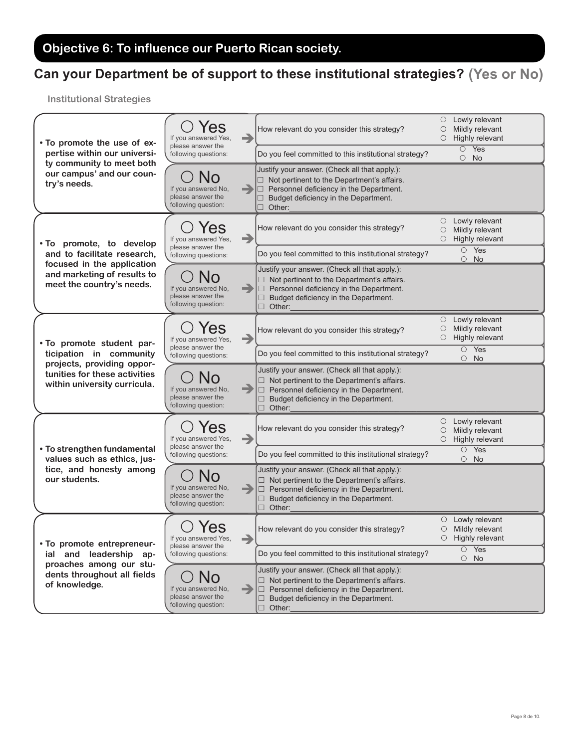# Can your Department be of support to these institutional strategies? (Yes or No)

| • To promote the use of ex-<br>pertise within our universi-<br>ty community to meet both | /es<br>→<br>If you answered Yes,                                                  | How relevant do you consider this strategy?                                                                                                                                                                          | $\circ$<br>Ő<br>$\circ$ | Lowly relevant<br>Mildly relevant<br>Highly relevant         |
|------------------------------------------------------------------------------------------|-----------------------------------------------------------------------------------|----------------------------------------------------------------------------------------------------------------------------------------------------------------------------------------------------------------------|-------------------------|--------------------------------------------------------------|
|                                                                                          | please answer the<br>following questions:                                         | Do you feel committed to this institutional strategy?                                                                                                                                                                |                         | $\overline{O}$ Yes<br>$\circ$ No                             |
| our campus' and our coun-<br>try's needs.                                                | N <sub>0</sub><br>If you answered No.<br>please answer the<br>following question: | Justify your answer. (Check all that apply.):<br>$\Box$ Not pertinent to the Department's affairs.<br>$\Box$ Personnel deficiency in the Department.<br>Budget deficiency in the Department.<br>$\Box$ Other:        |                         |                                                              |
| . To promote, to develop                                                                 | 'es<br>→<br>If you answered Yes,                                                  | How relevant do you consider this strategy?                                                                                                                                                                          | $\circ$<br>О<br>O       | Lowly relevant<br>Mildly relevant<br>Highly relevant         |
| and to facilitate research,                                                              | please answer the<br>following questions:                                         | Do you feel committed to this institutional strategy?                                                                                                                                                                |                         | $O$ Yes<br>$\circ$ No                                        |
| focused in the application<br>and marketing of results to<br>meet the country's needs.   | <b>No</b><br>If you answered No,<br>-<br>please answer the<br>following question: | Justify your answer. (Check all that apply.):<br>$\Box$ Not pertinent to the Department's affairs.<br>$\Box$ Personnel deficiency in the Department.<br>$\Box$ Budget deficiency in the Department.<br>$\Box$ Other: |                         |                                                              |
| . To promote student par-                                                                | res<br>→<br>If you answered Yes,                                                  | How relevant do you consider this strategy?                                                                                                                                                                          | О<br>O<br>O             | Lowly relevant<br>Mildly relevant<br>Highly relevant         |
| ticipation in community<br>projects, providing oppor-                                    | please answer the<br>following questions:                                         | Do you feel committed to this institutional strategy?                                                                                                                                                                |                         | $O$ Yes<br>$\circ$ No                                        |
| tunities for these activities<br>within university curricula.                            | <b>NO</b><br>-<br>If you answered No,<br>please answer the<br>following question: | Justify your answer. (Check all that apply.):<br>$\Box$ Not pertinent to the Department's affairs.<br>$\Box$ Personnel deficiency in the Department.<br>Budget deficiency in the Department.<br>$\Box$ Other:        |                         |                                                              |
|                                                                                          | Yes<br>→<br>If you answered Yes,                                                  | How relevant do you consider this strategy?                                                                                                                                                                          | $\circ$<br>$\circ$<br>O | Lowly relevant<br>Mildly relevant<br>Highly relevant         |
| • To strengthen fundamental<br>values such as ethics, jus-                               | please answer the<br>following questions:                                         | Do you feel committed to this institutional strategy?                                                                                                                                                                |                         | $O$ Yes<br>$\circ$ No                                        |
| tice, and honesty among<br>our students.                                                 | If you answered No,<br>$\rightarrow$<br>please answer the<br>following question:  | Justify your answer. (Check all that apply.):<br>$\Box$ Not pertinent to the Department's affairs.<br>$\Box$ Personnel deficiency in the Department.<br>$\Box$ Budget deficiency in the Department.<br>$\Box$ Other: |                         |                                                              |
| • To promote entrepreneur-                                                               | Yes<br>If you answered Yes,<br>$\rightarrow$<br>please answer the                 | How relevant do you consider this strategy?                                                                                                                                                                          | $\circ$                 | $\circ$ Lowly relevant<br>Mildly relevant<br>Highly relevant |
| and leadership ap-<br>ial<br>proaches among our stu-                                     | following questions:                                                              | Do you feel committed to this institutional strategy?                                                                                                                                                                |                         | $\overline{O}$ Yes<br>$\circ$ No                             |
| dents throughout all fields<br>of knowledge.                                             | <b>No</b><br>-<br>If you answered No,<br>please answer the<br>following question: | Justify your answer. (Check all that apply.):<br>$\Box$ Not pertinent to the Department's affairs.<br>$\Box$ Personnel deficiency in the Department.<br>$\Box$ Budget deficiency in the Department.<br>$\Box$ Other: |                         |                                                              |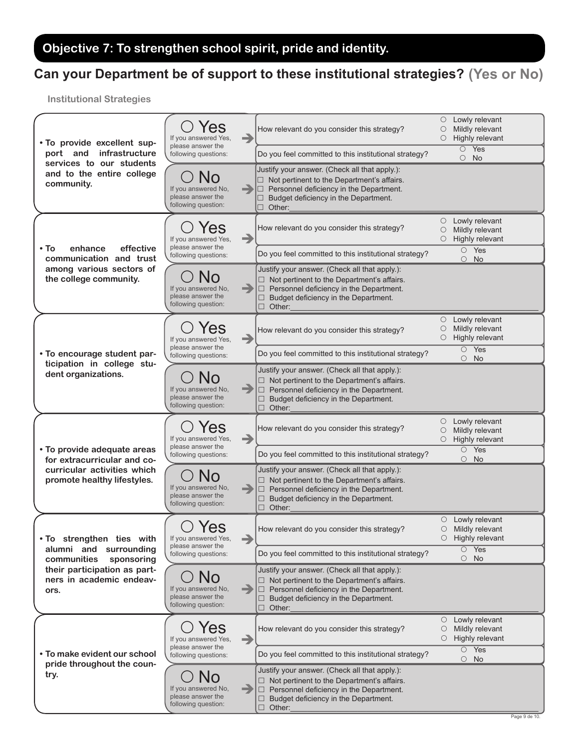# Objective 7: To strengthen school spirit, pride and identity.

## Can your Department be of support to these institutional strategies? (Yes or No)

| . To provide excellent sup-<br>infrastructure<br>port and<br>services to our students | Yes<br>If you answered Yes,<br>please answer the<br>following questions:     | $\rightarrow$ | How relevant do you consider this strategy?                                                                                                                                                                        | $\circ$<br>O<br>О | Lowly relevant<br>Mildly relevant<br>Highly relevant         |
|---------------------------------------------------------------------------------------|------------------------------------------------------------------------------|---------------|--------------------------------------------------------------------------------------------------------------------------------------------------------------------------------------------------------------------|-------------------|--------------------------------------------------------------|
|                                                                                       |                                                                              |               | Do you feel committed to this institutional strategy?                                                                                                                                                              |                   | $\circ$ Yes<br>$\circ$ No                                    |
| and to the entire college<br>community.                                               | NO<br>If you answered No,<br>please answer the<br>following question:        |               | Justify your answer. (Check all that apply.):<br>$\Box$ Not pertinent to the Department's affairs.<br>Personnel deficiency in the Department.<br>$\Box$ Budget deficiency in the Department.<br>$\Box$ Other:      |                   |                                                              |
|                                                                                       | 'es<br>If you answered Yes,                                                  | $\rightarrow$ | How relevant do you consider this strategy?                                                                                                                                                                        | О<br>O            | $\circ$ Lowly relevant<br>Mildly relevant<br>Highly relevant |
| effective<br>• To<br>enhance<br>communication and trust                               | please answer the<br>following questions:                                    |               | Do you feel committed to this institutional strategy?                                                                                                                                                              |                   | $O$ Yes<br>$\circ$ No                                        |
| among various sectors of<br>the college community.                                    | No<br>If you answered No,<br>please answer the<br>following question:        | $\Rightarrow$ | Justify your answer. (Check all that apply.):<br>$\Box$ Not pertinent to the Department's affairs.<br>$\Box$ Personnel deficiency in the Department.<br>Budget deficiency in the Department.<br>$\Box$ Other:      |                   |                                                              |
|                                                                                       | 'es<br>If you answered Yes,                                                  | →             | How relevant do you consider this strategy?                                                                                                                                                                        | O<br>О            | Lowly relevant<br>Mildly relevant<br>$\circ$ Highly relevant |
| • To encourage student par-                                                           | please answer the<br>following questions:                                    |               | Do you feel committed to this institutional strategy?                                                                                                                                                              |                   | $O$ Yes<br>$\circ$ No                                        |
| ticipation in college stu-<br>dent organizations.                                     | If you answered No,<br>please answer the<br>following question:              | =             | Justify your answer. (Check all that apply.):<br>$\Box$ Not pertinent to the Department's affairs.<br>$\Box$ Personnel deficiency in the Department.<br>Budget deficiency in the Department.<br>□<br>$\Box$ Other: |                   |                                                              |
|                                                                                       | Yes<br>If you answered Yes,<br>please answer the                             | $\rightarrow$ | How relevant do you consider this strategy?                                                                                                                                                                        | O<br>О<br>O       | Lowly relevant<br>Mildly relevant<br>Highly relevant         |
| • To provide adequate areas<br>for extracurricular and co-                            | following questions:                                                         |               | Do you feel committed to this institutional strategy?                                                                                                                                                              |                   | $O$ Yes<br>$\circ$<br>No                                     |
| curricular activities which<br>promote healthy lifestyles.                            | If you answered No,<br>please answer the<br>following question:              | -             | Justify your answer. (Check all that apply.):<br>$\Box$ Not pertinent to the Department's affairs.<br>$\Box$ Personnel deficiency in the Department.<br>□ Budget deficiency in the Department.<br>$\Box$<br>Other: |                   |                                                              |
| . To strengthen ties with                                                             | Yes<br>If you answered Yes,                                                  | $\rightarrow$ | How relevant do you consider this strategy?                                                                                                                                                                        | $\bigcirc$        | $\circ$ Lowly relevant<br>Mildly relevant<br>Highly relevant |
| alumni and surrounding<br>communities<br>sponsoring                                   | please answer the<br>following questions:                                    |               | Do you feel committed to this institutional strategy?                                                                                                                                                              |                   | $\overline{O}$ Yes<br>$\circ$ No                             |
| their participation as part-<br>ners in academic endeav-<br>ors.                      | <b>No</b><br>If you answered No,<br>please answer the<br>following question: | -             | Justify your answer. (Check all that apply.):<br>$\Box$ Not pertinent to the Department's affairs.<br>Personnel deficiency in the Department.<br>$\Box$<br>Budget deficiency in the Department.<br>$\Box$ Other:   |                   |                                                              |
|                                                                                       | Yes<br>If you answered Yes,                                                  | $\rightarrow$ | How relevant do you consider this strategy?                                                                                                                                                                        | $\circ$           | Lowly relevant<br>Mildly relevant<br>$\circ$ Highly relevant |
| • To make evident our school                                                          | please answer the<br>following questions:                                    |               | Do you feel committed to this institutional strategy?                                                                                                                                                              |                   | $O$ Yes<br>$\circ$ No                                        |
| pride throughout the coun-<br>try.                                                    | NO<br>If you answered No,<br>please answer the<br>following question:        | -             | Justify your answer. (Check all that apply.):<br>$\Box$ Not pertinent to the Department's affairs.<br>$\Box$ Personnel deficiency in the Department.<br>Budget deficiency in the Department.<br>$\Box$ Other:      |                   |                                                              |